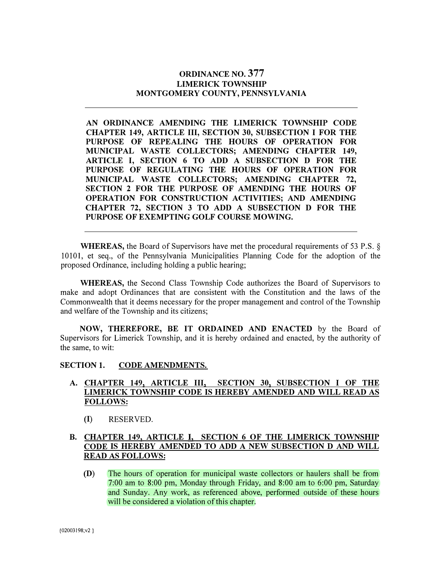### **ORDINANCE NO. 377 LIMERICK TOWNSHIP MONTGOMERY COUNTY, PENNSYLVANIA**

**AN ORDINANCE AMENDING THE LIMERICK TOWNSHIP CODE CHAPTER 149, ARTICLE III, SECTION 30, SUBSECTION I FOR THE PURPOSE OF REPEALING THE HOURS OF OPERATION FOR MUNICIPAL WASTE COLLECTORS; AMENDING CHAPTER 149, ARTICLE I, SECTION 6 TO ADD A SUBSECTION D FOR THE PURPOSE OF REGULATING THE HOURS OF OPERATION FOR MUNICIPAL WASTE COLLECTORS; AMENDING CHAPTER 72, SECTION 2 FOR THE PURPOSE OF AMENDING THE HOURS OF OPERATION FOR CONSTRUCTION ACTIVITIES; AND AMENDING CHAPTER 72, SECTION 3 TO ADD A SUBSECTION D FOR THE PURPOSE OF EXEMPTING GOLF COURSE MOWING.** 

**WHEREAS,** the Board of Supervisors have met the procedural requirements of 53 P.S. § 10101, et seq., of the Pennsylvania Municipalities Planning Code for the adoption of the proposed Ordinance, including holding a public hearing;

**WHEREAS,** the Second Class Township Code authorizes the Board of Supervisors to make and adopt Ordinances that are consistent with the Constitution and the laws of the Commonwealth that it deems necessary for the proper management and control of the Township and welfare of the Township and its citizens;

**NOW, THEREFORE, BE IT ORDAINED AND ENACTED** by the Board of Supervisors for Limerick Township, and it is hereby ordained and enacted, by the authority of the same, to wit:

### **SECTION 1. CODE AMENDMENTS.**

### **A. CHAPTER 149, ARTICLE III, SECTION 30, SUBSECTION I OF THE LIMERICK TOWNSHIP CODE IS HEREBY AMENDED AND WILL READ AS FOLLOWS:**

(I) RESERVED.

### **B. CHAPTER 149, ARTICLE I, SECTION 6 OF THE LIMERICK TOWNSHIP CODE IS HEREBY AMENDED TO ADD A NEW SUBSECTION D AND WILL READ AS FOLLOWS:**

**(D)** The hours of operation for municipal waste collectors or haulers shall be from 7:00 am to 8:00 pm, Monday through Friday, and 8:00 am to 6:00 pm, Saturday and Sunday. Any work, as referenced above, performed outside of these hours will be considered a violation of this chapter.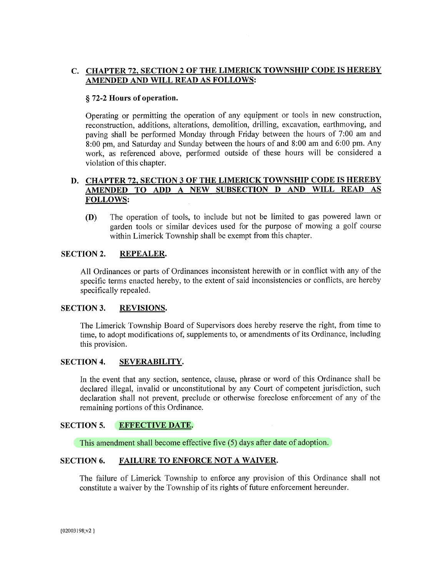## C. CHAPTER 72, SECTION 2 OF THE LIMERICK TOWNSHIP CODE IS HEREBY AMENDED AND WILL READ AS FOLLOWS:

### §72-2 Hours of operation.

Operating or permitting the operation of any equipment or tools in new construction, reconstruction, additions, alterations, demolition, drilling, excavation, earthmoving, and paying shall be performed Monday through Friday between the hours of 7:00 am and 8:00 pm, and Saturday and Sunday between the hours of and 8:00 am and 6:00 pm. Any work, as referenced above, performed outside of these hours will be considered a violation of this chapter.

### D. CHAPTER 72, SECTION 3 OF THE LIMERICK TOWNSHIP CODE IS HEREBY AMENDED TO ADD A NEW SUBSECTION D AND WILL READ AS **FOLLOWS:**

The operation of tools, to include but not be limited to gas powered lawn or  $(D)$ garden tools or similar devices used for the purpose of mowing a golf course within Limerick Township shall be exempt from this chapter.

#### **SECTION 2. REPEALER.**

All Ordinances or parts of Ordinances inconsistent herewith or in conflict with any of the specific terms enacted hereby, to the extent of said inconsistencies or conflicts, are hereby specifically repealed.

#### **SECTION 3. REVISIONS.**

The Limerick Township Board of Supervisors does hereby reserve the right, from time to time, to adopt modifications of, supplements to, or amendments of its Ordinance, including this provision.

#### **SECTION 4.** SEVERABILITY.

In the event that any section, sentence, clause, phrase or word of this Ordinance shall be declared illegal, invalid or unconstitutional by any Court of competent jurisdiction, such declaration shall not prevent, preclude or otherwise foreclose enforcement of any of the remaining portions of this Ordinance.

#### **SECTION 5. EFFECTIVE DATE.**

This amendment shall become effective five (5) days after date of adoption.

#### **SECTION 6. FAILURE TO ENFORCE NOT A WAIVER.**

The failure of Limerick Township to enforce any provision of this Ordinance shall not constitute a waiver by the Township of its rights of future enforcement hereunder.